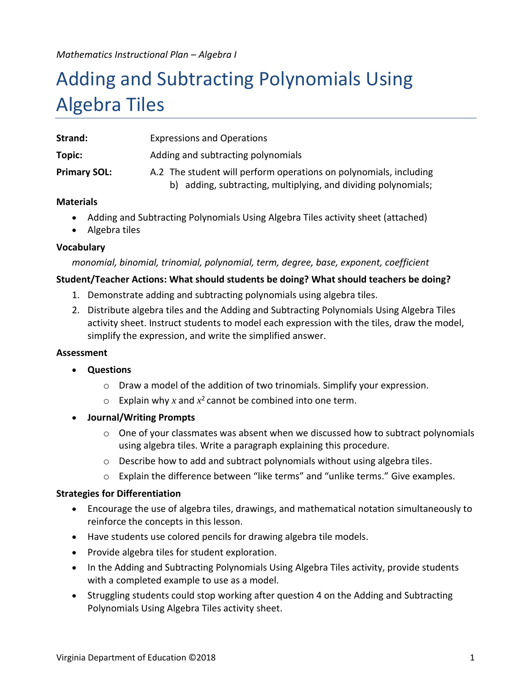*Mathematics Instructional Plan – Algebra I*

# Adding and Subtracting Polynomials Using Algebra Tiles

| Strand:             | <b>Expressions and Operations</b>                                                                                                   |  |
|---------------------|-------------------------------------------------------------------------------------------------------------------------------------|--|
| Topic:              | Adding and subtracting polynomials                                                                                                  |  |
| <b>Primary SOL:</b> | A.2 The student will perform operations on polynomials, including<br>b) adding, subtracting, multiplying, and dividing polynomials; |  |

#### **Materials**

- Adding and Subtracting Polynomials Using Algebra Tiles activity sheet (attached)
- Algebra tiles

#### **Vocabulary**

#### *monomial, binomial, trinomial, polynomial, term, degree, base, exponent, coefficient*

#### **Student/Teacher Actions: What should students be doing? What should teachers be doing?**

- 1. Demonstrate adding and subtracting polynomials using algebra tiles.
- 2. Distribute algebra tiles and the Adding and Subtracting Polynomials Using Algebra Tiles activity sheet. Instruct students to model each expression with the tiles, draw the model, simplify the expression, and write the simplified answer.

#### **Assessment**

- **Questions**
	- o Draw a model of the addition of two trinomials. Simplify your expression.
	- $\circ$  Explain why x and  $x^2$  cannot be combined into one term.
- **Journal/Writing Prompts**
	- $\circ$  One of your classmates was absent when we discussed how to subtract polynomials using algebra tiles. Write a paragraph explaining this procedure.
	- $\circ$  Describe how to add and subtract polynomials without using algebra tiles.
	- o Explain the difference between "like terms" and "unlike terms." Give examples.

#### **Strategies for Differentiation**

- Encourage the use of algebra tiles, drawings, and mathematical notation simultaneously to reinforce the concepts in this lesson.
- Have students use colored pencils for drawing algebra tile models.
- Provide algebra tiles for student exploration.
- In the Adding and Subtracting Polynomials Using Algebra Tiles activity, provide students with a completed example to use as a model.
- Struggling students could stop working after question 4 on the Adding and Subtracting Polynomials Using Algebra Tiles activity sheet.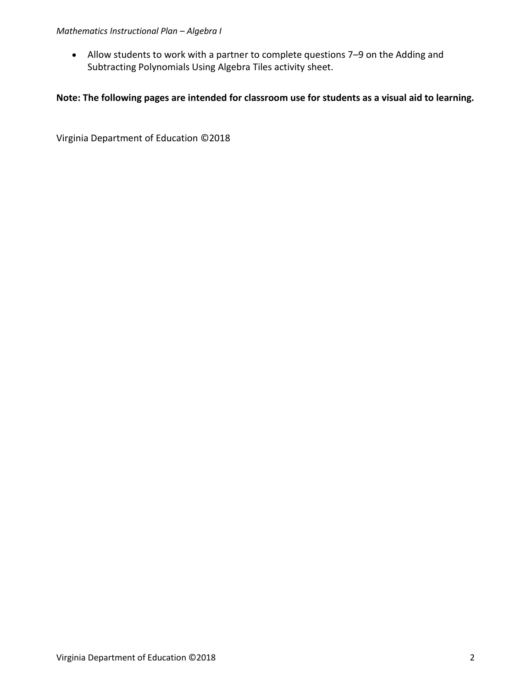#### *Mathematics Instructional Plan – Algebra I*

 Allow students to work with a partner to complete questions 7–9 on the Adding and Subtracting Polynomials Using Algebra Tiles activity sheet.

#### **Note: The following pages are intended for classroom use for students as a visual aid to learning.**

Virginia Department of Education ©2018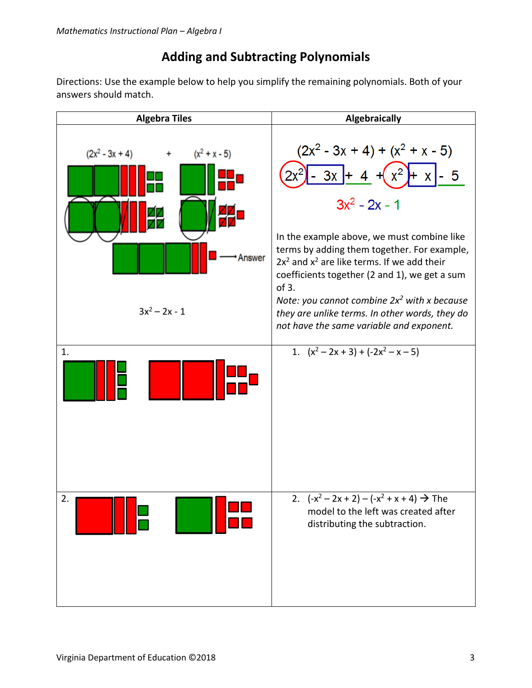### **Adding and Subtracting Polynomials**

Directions: Use the example below to help you simplify the remaining polynomials. Both of your answers should match.

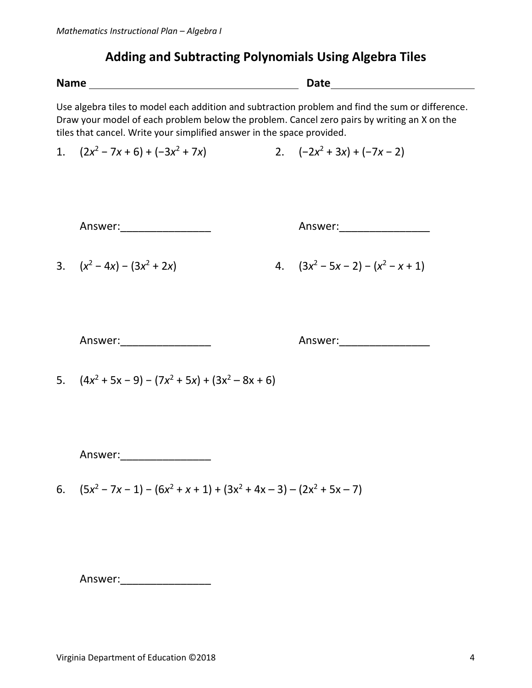## **Adding and Subtracting Polynomials Using Algebra Tiles**

| <b>Name</b> |                                                                                                                                                                       | Date |                                                                                                  |  |
|-------------|-----------------------------------------------------------------------------------------------------------------------------------------------------------------------|------|--------------------------------------------------------------------------------------------------|--|
|             | Draw your model of each problem below the problem. Cancel zero pairs by writing an X on the<br>tiles that cancel. Write your simplified answer in the space provided. |      | Use algebra tiles to model each addition and subtraction problem and find the sum or difference. |  |
|             | 1. $(2x^2 - 7x + 6) + (-3x^2 + 7x)$                                                                                                                                   |      | 2. $(-2x^2 + 3x) + (-7x - 2)$                                                                    |  |
|             | Answer:___________________                                                                                                                                            |      | Answer:____________________                                                                      |  |
|             | 3. $(x^2-4x)-(3x^2+2x)$                                                                                                                                               |      | 4. $(3x^2 - 5x - 2) - (x^2 - x + 1)$                                                             |  |
|             |                                                                                                                                                                       |      | Answer:______________________                                                                    |  |
|             | 5. $(4x^2 + 5x - 9) - (7x^2 + 5x) + (3x^2 - 8x + 6)$                                                                                                                  |      |                                                                                                  |  |
|             | Answer:                                                                                                                                                               |      |                                                                                                  |  |
|             | 6. $(5x^2 - 7x - 1) - (6x^2 + x + 1) + (3x^2 + 4x - 3) - (2x^2 + 5x - 7)$                                                                                             |      |                                                                                                  |  |
|             |                                                                                                                                                                       |      |                                                                                                  |  |
|             | Answer:                                                                                                                                                               |      |                                                                                                  |  |